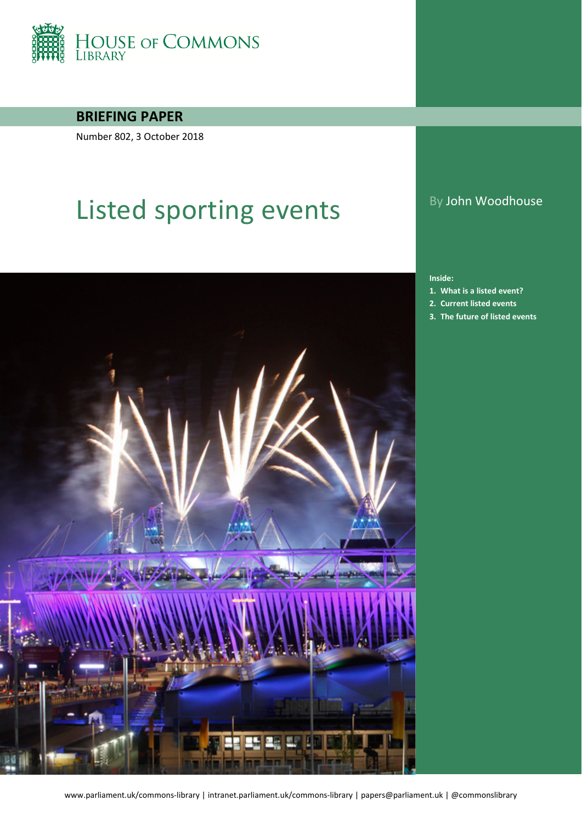

**BRIEFING PAPER**

Number 802, 3 October 2018

# Listed sporting events By John Woodhouse



**Inside:**

- **1. [What is a listed event?](#page-3-0)**
- **2. [Current listed events](#page-5-0)**
- **3. [The future of listed events](#page-6-0)**

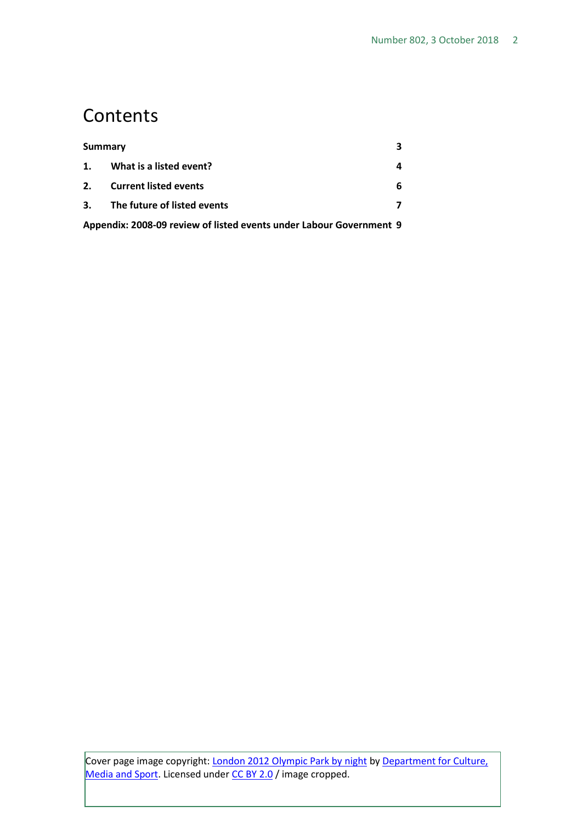# **Contents**

| Summary                                                             |                              |  |
|---------------------------------------------------------------------|------------------------------|--|
| 1.                                                                  | What is a listed event?      |  |
| 2.                                                                  | <b>Current listed events</b> |  |
| 3.                                                                  | The future of listed events  |  |
| Appendix: 2008-09 review of listed events under Labour Government 9 |                              |  |

Cover page image copyright: **London 2012 Olympic Park by night by Department for Culture**, [Media and Sport.](https://www.flickr.com/photos/thedcms/7709426322/in/album-72157630953560736/) Licensed under [CC BY 2.0](https://creativecommons.org/licenses/by-nc/2.0/) / image cropped.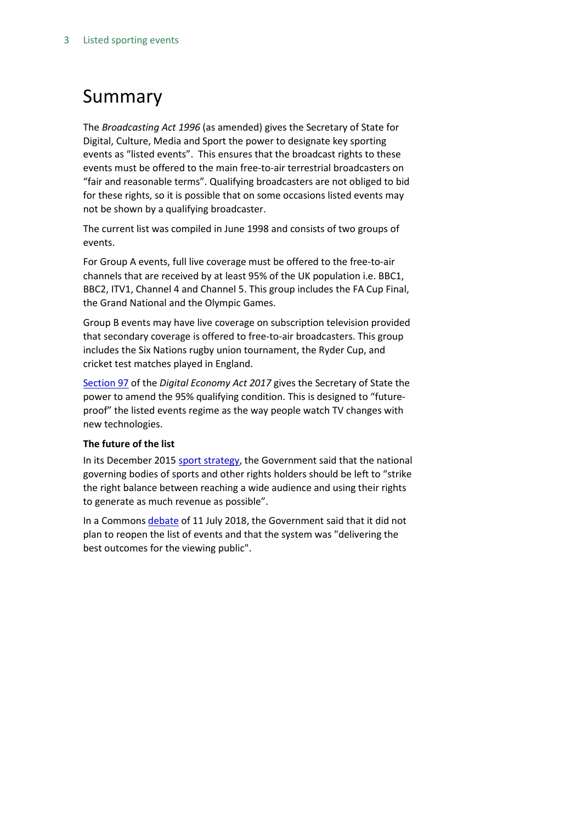# <span id="page-2-0"></span>Summary

The *Broadcasting Act 1996* (as amended) gives the Secretary of State for Digital, Culture, Media and Sport the power to designate key sporting events as "listed events". This ensures that the broadcast rights to these events must be offered to the main free-to-air terrestrial broadcasters on "fair and reasonable terms". Qualifying broadcasters are not obliged to bid for these rights, so it is possible that on some occasions listed events may not be shown by a qualifying broadcaster.

The current list was compiled in June 1998 and consists of two groups of events.

For Group A events, full live coverage must be offered to the free-to-air channels that are received by at least 95% of the UK population i.e. BBC1, BBC2, ITV1, Channel 4 and Channel 5. This group includes the FA Cup Final, the Grand National and the Olympic Games.

Group B events may have live coverage on subscription television provided that secondary coverage is offered to free-to-air broadcasters. This group includes the Six Nations rugby union tournament, the Ryder Cup, and cricket test matches played in England.

[Section 97](http://www.legislation.gov.uk/ukpga/2017/30/part/6/crossheading/televising-events-of-national-interest/enacted) of the *Digital Economy Act 2017* gives the Secretary of State the power to amend the 95% qualifying condition. This is designed to "futureproof" the listed events regime as the way people watch TV changes with new technologies.

### **The future of the list**

In its December 2015 [sport strategy,](https://assets.publishing.service.gov.uk/government/uploads/system/uploads/attachment_data/file/486622/Sporting_Future_ACCESSIBLE.pdf) the Government said that the national governing bodies of sports and other rights holders should be left to "strike the right balance between reaching a wide audience and using their rights to generate as much revenue as possible".

In a Common[s debate](https://hansard.parliament.uk/Commons/2018-07-11/debates/4B862D65-E739-40DA-B238-9279E3134FB0/ListedSportingEvents#contribution-99E1ABC5-EEE0-4F39-A7B4-1D40BCC34B1D) of 11 July 2018, the Government said that it did not plan to reopen the list of events and that the system was "delivering the best outcomes for the viewing public".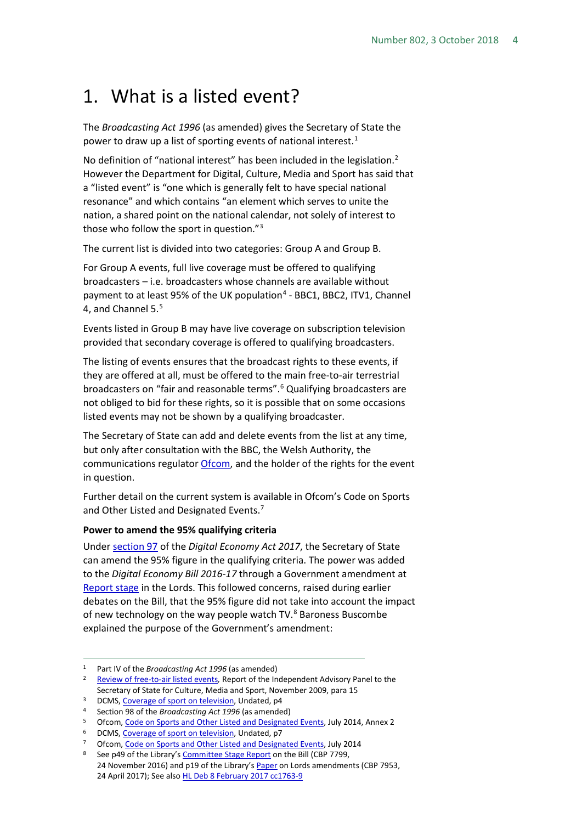# <span id="page-3-0"></span>1. What is a listed event?

The *Broadcasting Act 1996* (as amended) gives the Secretary of State the power to draw up a list of sporting events of national interest.<sup>[1](#page-3-1)</sup>

No definition of "national interest" has been included in the legislation.<sup>[2](#page-3-2)</sup> However the Department for Digital, Culture, Media and Sport has said that a "listed event" is "one which is generally felt to have special national resonance" and which contains "an element which serves to unite the nation, a shared point on the national calendar, not solely of interest to those who follow the sport in question."[3](#page-3-3)

The current list is divided into two categories: Group A and Group B.

For Group A events, full live coverage must be offered to qualifying broadcasters – i.e. broadcasters whose channels are available without payment to at least 95% of the UK population<sup>[4](#page-3-4)</sup> - BBC1, BBC2, ITV1, Channel 4, and Channel [5](#page-3-5).<sup>5</sup>

Events listed in Group B may have live coverage on subscription television provided that secondary coverage is offered to qualifying broadcasters.

The listing of events ensures that the broadcast rights to these events, if they are offered at all, must be offered to the main free-to-air terrestrial broadcasters on "fair and reasonable terms".<sup>[6](#page-3-6)</sup> Qualifying broadcasters are not obliged to bid for these rights, so it is possible that on some occasions listed events may not be shown by a qualifying broadcaster.

The Secretary of State can add and delete events from the list at any time, but only after consultation with the BBC, the Welsh Authority, the communications regulato[r Ofcom,](https://www.ofcom.org.uk/home) and the holder of the rights for the event in question.

Further detail on the current system is available in Ofcom's Code on Sports and Other Listed and Designated Events. [7](#page-3-7)

#### **Power to amend the 95% qualifying criteria**

Unde[r section 97](http://www.legislation.gov.uk/ukpga/2017/30/section/97/enacted) of the *Digital Economy Act 2017*, the Secretary of State can amend the 95% figure in the qualifying criteria. The power was added to the *Digital Economy Bill 2016-17* through a Government amendment at [Report stage](https://hansard.parliament.uk/lords/2017-03-29/debates/AD07E824-13BF-4682-A8BE-D09B0AC64624/DigitalEconomyBill) in the Lords. This followed concerns, raised during earlier debates on the Bill, that the 95% figure did not take into account the impact of new technology on the way people watch TV.<sup>8</sup> Baroness Buscombe explained the purpose of the Government's amendment:

<span id="page-3-2"></span><span id="page-3-1"></span><sup>1</sup> Part IV of the *Broadcasting Act 1996* (as amended)<br><sup>2</sup> [Review of free-to-air listed events](http://webarchive.nationalarchives.gov.uk/+/http:/www.culture.gov.uk/images/consultations/independentpanelreport-to-SoS-Free-to-air-Nov2009.pdf), Report of the Independent Advisory Panel to the Secretary of State for Culture, Media and Sport, November 2009, para 15<br>DCMS[, Coverage of sport on television,](http://webarchive.nationalarchives.gov.uk/+/http:/www.culture.gov.uk/PDF/sport_on_television.pdf) Undated, p4<br>4 Section 98 of the *Broadcasting Act 1996* (as amended)<br>5 Ofcom, Code on Sports and Other Listed a

<span id="page-3-3"></span>

<span id="page-3-4"></span>

<span id="page-3-5"></span>

<span id="page-3-7"></span><span id="page-3-6"></span><sup>&</sup>lt;sup>6</sup> DCMS[, Coverage of sport on television,](http://webarchive.nationalarchives.gov.uk/+/http:/www.culture.gov.uk/PDF/sport_on_television.pdf) Undated, p7<br><sup>7</sup> Ofcom, [Code on Sports and Other Listed and Designated Events,](https://www.ofcom.org.uk/__data/assets/pdf_file/0029/35948/ofcom_code_on_sport.pdf) July 2014

<span id="page-3-8"></span><sup>8</sup> See p49 of the Library's [Committee Stage Report](http://researchbriefings.files.parliament.uk/documents/CBP-7799/CBP-7799.pdf) on the Bill (CBP 7799, 24 November 2016) and p19 of the Library'[s Paper](http://researchbriefings.files.parliament.uk/documents/CBP-7953/CBP-7953.pdf) on Lords amendments (CBP 7953, 24 April 2017); See also [HL Deb 8 February 2017 cc1763-9](https://hansard.parliament.uk/lords/2017-02-08/debates/6EFC892A-F1A8-4156-B838-E8952E0908BA/DigitalEconomyBill)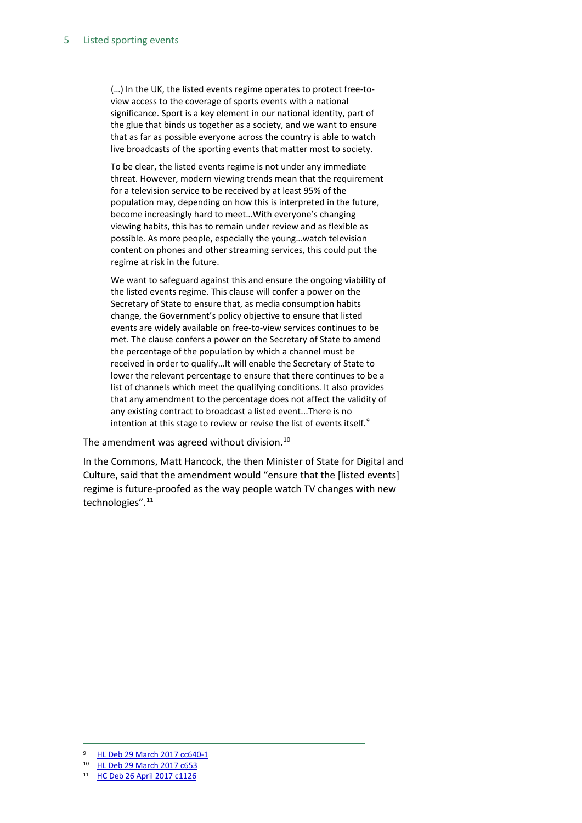(…) In the UK, the listed events regime operates to protect free-toview access to the coverage of sports events with a national significance. Sport is a key element in our national identity, part of the glue that binds us together as a society, and we want to ensure that as far as possible everyone across the country is able to watch live broadcasts of the sporting events that matter most to society.

To be clear, the listed events regime is not under any immediate threat. However, modern viewing trends mean that the requirement for a television service to be received by at least 95% of the population may, depending on how this is interpreted in the future, become increasingly hard to meet…With everyone's changing viewing habits, this has to remain under review and as flexible as possible. As more people, especially the young…watch television content on phones and other streaming services, this could put the regime at risk in the future.

We want to safeguard against this and ensure the ongoing viability of the listed events regime. This clause will confer a power on the Secretary of State to ensure that, as media consumption habits change, the Government's policy objective to ensure that listed events are widely available on free-to-view services continues to be met. The clause confers a power on the Secretary of State to amend the percentage of the population by which a channel must be received in order to qualify…It will enable the Secretary of State to lower the relevant percentage to ensure that there continues to be a list of channels which meet the qualifying conditions. It also provides that any amendment to the percentage does not affect the validity of any existing contract to broadcast a listed event...There is no intention at this stage to review or revise the list of events itself.<sup>[9](#page-4-0)</sup>

The amendment was agreed without division. $^{10}$  $^{10}$  $^{10}$ 

In the Commons, Matt Hancock, the then Minister of State for Digital and Culture, said that the amendment would "ensure that the [listed events] regime is future-proofed as the way people watch TV changes with new technologies". [11](#page-4-2)

<span id="page-4-0"></span> <sup>9</sup> [HL Deb 29 March 2017 cc640-1](https://hansard.parliament.uk/lords/2017-03-29/debates/AD07E824-13BF-4682-A8BE-D09B0AC64624/DigitalEconomyBill)

<span id="page-4-1"></span><sup>10</sup> [HL Deb 29 March 2017 c653](https://hansard.parliament.uk/lords/2017-03-29/debates/AD07E824-13BF-4682-A8BE-D09B0AC64624/DigitalEconomyBill)

<span id="page-4-2"></span><sup>11</sup> [HC Deb 26 April](https://hansard.parliament.uk/Commons/2017-04-26/debates/52706430-B069-4DDA-B0F1-52916F6A4588/DigitalEconomyBill#contribution-E1F2B6B1-E144-4A4F-A612-821D13E22C40) 2017 c1126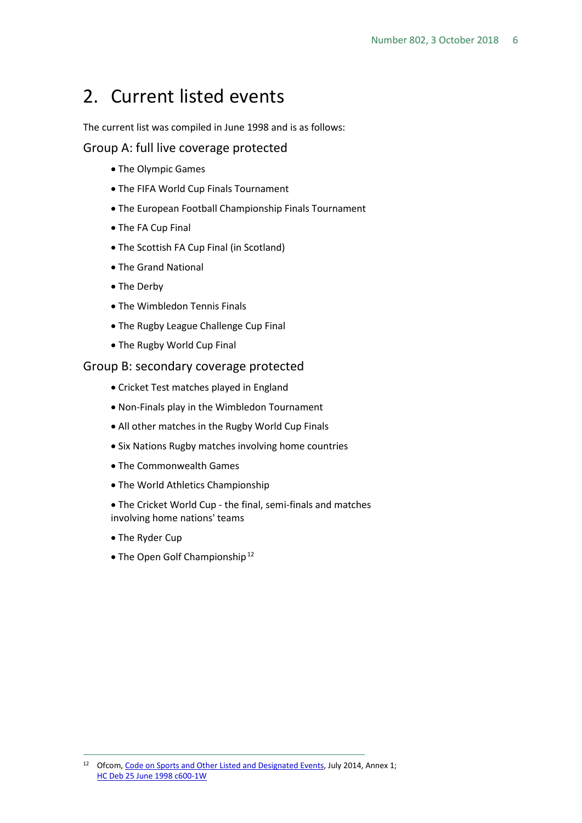# <span id="page-5-0"></span>2. Current listed events

The current list was compiled in June 1998 and is as follows:

### Group A: full live coverage protected

- The Olympic Games
- The FIFA World Cup Finals Tournament
- The European Football Championship Finals Tournament
- The FA Cup Final
- The Scottish FA Cup Final (in Scotland)
- The Grand National
- The Derby
- The Wimbledon Tennis Finals
- The Rugby League Challenge Cup Final
- The Rugby World Cup Final

### Group B: secondary coverage protected

- Cricket Test matches played in England
- Non-Finals play in the Wimbledon Tournament
- All other matches in the Rugby World Cup Finals
- Six Nations Rugby matches involving home countries
- The Commonwealth Games
- The World Athletics Championship
- The Cricket World Cup the final, semi-finals and matches involving home nations' teams
- The Ryder Cup
- The Open Golf Championship<sup>[12](#page-5-1)</sup>

<span id="page-5-1"></span><sup>&</sup>lt;sup>12</sup> Ofcom, [Code on Sports and Other Listed and Designated Events,](https://www.ofcom.org.uk/__data/assets/pdf_file/0029/35948/ofcom_code_on_sport.pdf) July 2014, Annex 1; [HC Deb 25 June 1998 c600-1W](http://www.publications.parliament.uk/pa/cm199798/cmhansrd/vo980625/text/80625w12.htm#80625w12.html_sbhd6)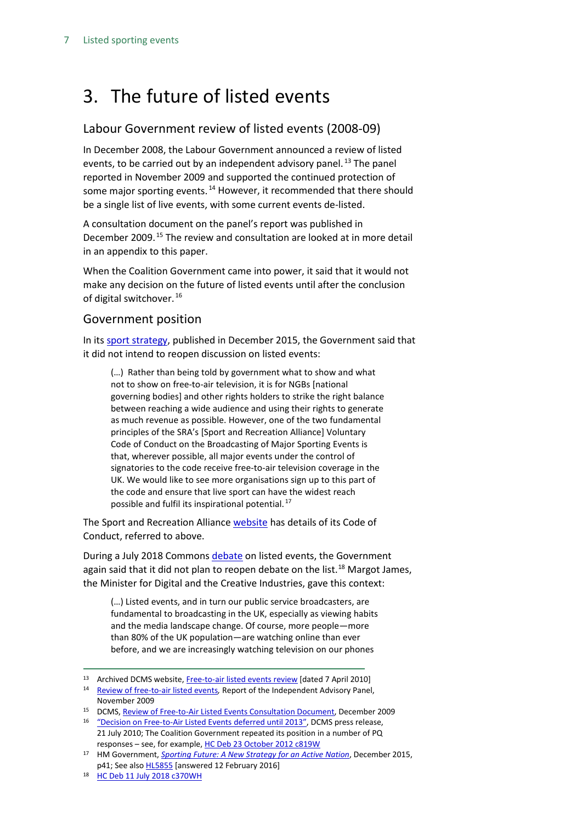# <span id="page-6-0"></span>3. The future of listed events

## Labour Government review of listed events (2008-09)

In December 2008, the Labour Government announced a review of listed events, to be carried out by an independent advisory panel.<sup>[13](#page-6-1)</sup> The panel reported in November 2009 and supported the continued protection of some major sporting events.<sup>[14](#page-6-2)</sup> However, it recommended that there should be a single list of live events, with some current events de-listed.

A consultation document on the panel's report was published in December 2009.<sup>[15](#page-6-3)</sup> The review and consultation are looked at in more detail in an appendix to this paper.

When the Coalition Government came into power, it said that it would not make any decision on the future of listed events until after the conclusion of digital switchover. [16](#page-6-4)

### Government position

In its [sport strategy,](https://www.gov.uk/government/uploads/system/uploads/attachment_data/file/486622/Sporting_Future_ACCESSIBLE.pdf) published in December 2015, the Government said that it did not intend to reopen discussion on listed events:

(…) Rather than being told by government what to show and what not to show on free-to-air television, it is for NGBs [national governing bodies] and other rights holders to strike the right balance between reaching a wide audience and using their rights to generate as much revenue as possible. However, one of the two fundamental principles of the SRA's [Sport and Recreation Alliance] Voluntary Code of Conduct on the Broadcasting of Major Sporting Events is that, wherever possible, all major events under the control of signatories to the code receive free-to-air television coverage in the UK. We would like to see more organisations sign up to this part of the code and ensure that live sport can have the widest reach possible and fulfil its inspirational potential.<sup>[17](#page-6-5)</sup>

The Sport and Recreation Allianc[e website](https://www.sportandrecreation.org.uk/policy/campaigns-initiatives/broadcasting-of-major-sporting-events-the-vol) has details of its Code of Conduct, referred to above.

During a July 2018 Commons [debate](https://hansard.parliament.uk/Commons/2018-07-11/debates/4B862D65-E739-40DA-B238-9279E3134FB0/ListedSportingEvents#contribution-99E1ABC5-EEE0-4F39-A7B4-1D40BCC34B1D) on listed events, the Government again said that it did not plan to reopen debate on the list.<sup>[18](#page-6-6)</sup> Margot James, the Minister for Digital and the Creative Industries, gave this context:

(…) Listed events, and in turn our public service broadcasters, are fundamental to broadcasting in the UK, especially as viewing habits and the media landscape change. Of course, more people—more than 80% of the UK population—are watching online than ever before, and we are increasingly watching television on our phones

<span id="page-6-1"></span><sup>13</sup> Archived DCMS website[, Free-to-air listed events review](http://webarchive.nationalarchives.gov.uk/+/http:/www.culture.gov.uk/freetoair/) [dated 7 April 2010]

<span id="page-6-2"></span><sup>14</sup> [Review of free-to-air listed events](http://webarchive.nationalarchives.gov.uk/+/http:/www.culture.gov.uk/images/consultations/independentpanelreport-to-SoS-Free-to-air-Nov2009.pdf)*,* Report of the Independent Advisory Panel, November 2009

<span id="page-6-3"></span><sup>15</sup> DCMS[, Review of Free-to-Air Listed Events Consultation Document,](http://webarchive.nationalarchives.gov.uk/+/http:/www.culture.gov.uk/images/consultations/listed_events_review_consultation.pdf) December 2009

<span id="page-6-4"></span><sup>&</sup>lt;sup>16</sup> ["Decision on Free-to-Air Listed Events deferred until 2013",](https://www.gov.uk/government/news/decision-on-free-to-air-listed-events-deferred-until-2013--2) DCMS press release, 21 July 2010; The Coalition Government repeated its position in a number of PQ responses – see, for example[, HC Deb 23 October 2012 c819W](http://www.publications.parliament.uk/pa/cm201213/cmhansrd/cm121023/text/121023w0003.htm#12102371000311)

<span id="page-6-5"></span><sup>17</sup> HM Government, *[Sporting Future: A New Strategy for an Active Nation](https://www.gov.uk/government/uploads/system/uploads/attachment_data/file/486622/Sporting_Future_ACCESSIBLE.pdf)*, December 2015, p41; See also **HL5855** [answered 12 February 2016]

<span id="page-6-6"></span><sup>18</sup> HC [Deb 11 July 2018 c370WH](https://hansard.parliament.uk/Commons/2018-07-11/debates/4B862D65-E739-40DA-B238-9279E3134FB0/ListedSportingEvents#contribution-99E1ABC5-EEE0-4F39-A7B4-1D40BCC34B1D)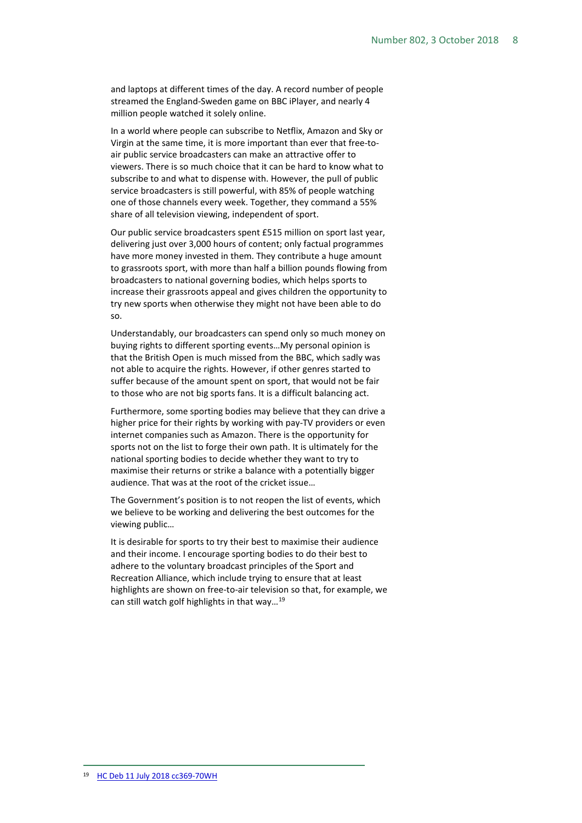and laptops at different times of the day. A record number of people streamed the England-Sweden game on BBC iPlayer, and nearly 4 million people watched it solely online.

In a world where people can subscribe to Netflix, Amazon and Sky or Virgin at the same time, it is more important than ever that free-toair public service broadcasters can make an attractive offer to viewers. There is so much choice that it can be hard to know what to subscribe to and what to dispense with. However, the pull of public service broadcasters is still powerful, with 85% of people watching one of those channels every week. Together, they command a 55% share of all television viewing, independent of sport.

Our public service broadcasters spent £515 million on sport last year, delivering just over 3,000 hours of content; only factual programmes have more money invested in them. They contribute a huge amount to grassroots sport, with more than half a billion pounds flowing from broadcasters to national governing bodies, which helps sports to increase their grassroots appeal and gives children the opportunity to try new sports when otherwise they might not have been able to do so.

Understandably, our broadcasters can spend only so much money on buying rights to different sporting events…My personal opinion is that the British Open is much missed from the BBC, which sadly was not able to acquire the rights. However, if other genres started to suffer because of the amount spent on sport, that would not be fair to those who are not big sports fans. It is a difficult balancing act.

Furthermore, some sporting bodies may believe that they can drive a higher price for their rights by working with pay-TV providers or even internet companies such as Amazon. There is the opportunity for sports not on the list to forge their own path. It is ultimately for the national sporting bodies to decide whether they want to try to maximise their returns or strike a balance with a potentially bigger audience. That was at the root of the cricket issue…

The Government's position is to not reopen the list of events, which we believe to be working and delivering the best outcomes for the viewing public…

<span id="page-7-0"></span>It is desirable for sports to try their best to maximise their audience and their income. I encourage sporting bodies to do their best to adhere to the voluntary broadcast principles of the Sport and Recreation Alliance, which include trying to ensure that at least highlights are shown on free-to-air television so that, for example, we can still watch golf highlights in that way…[19](#page-7-0)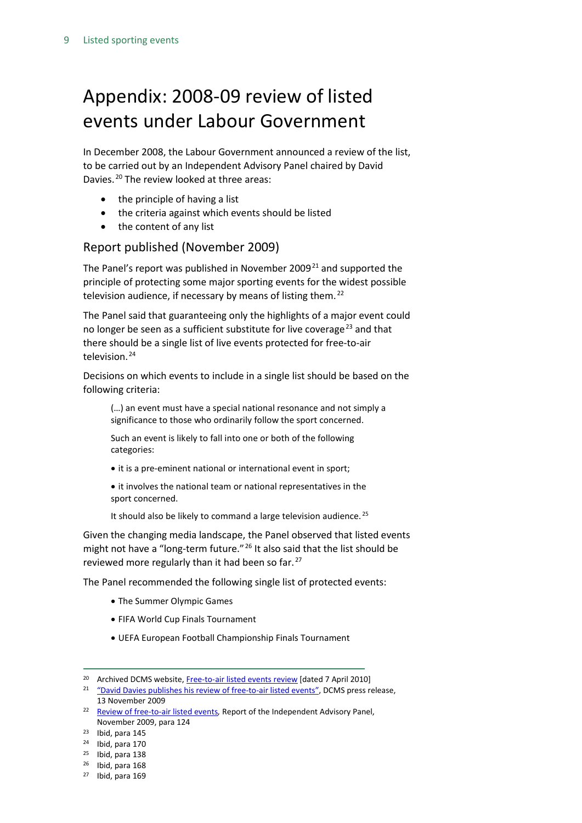# <span id="page-8-0"></span>Appendix: 2008-09 review of listed events under Labour Government

In December 2008, the Labour Government announced a review of the list, to be carried out by an Independent Advisory Panel chaired by David Davies. [20](#page-8-1) The review looked at three areas:

- the principle of having a list
- the criteria against which events should be listed
- the content of any list

### Report published (November 2009)

The Panel's report was published in November 2009 $^{21}$  $^{21}$  $^{21}$  and supported the principle of protecting some major sporting events for the widest possible television audience, if necessary by means of listing them. [22](#page-8-3) 

The Panel said that guaranteeing only the highlights of a major event could no longer be seen as a sufficient substitute for live coverage<sup>[23](#page-8-4)</sup> and that there should be a single list of live events protected for free-to-air television.<sup>[24](#page-8-5)</sup>

Decisions on which events to include in a single list should be based on the following criteria:

(…) an event must have a special national resonance and not simply a significance to those who ordinarily follow the sport concerned.

Such an event is likely to fall into one or both of the following categories:

• it is a pre-eminent national or international event in sport;

• it involves the national team or national representatives in the sport concerned.

It should also be likely to command a large television audience.<sup>[25](#page-8-6)</sup>

Given the changing media landscape, the Panel observed that listed events might not have a "long-term future."<sup>[26](#page-8-7)</sup> It also said that the list should be reviewed more regularly than it had been so far.<sup>[27](#page-8-8)</sup>

The Panel recommended the following single list of protected events:

- The Summer Olympic Games
- FIFA World Cup Finals Tournament
- UEFA European Football Championship Finals Tournament

<span id="page-8-1"></span><sup>&</sup>lt;sup>20</sup> Archived DCMS website[, Free-to-air listed events review](http://webarchive.nationalarchives.gov.uk/+/http:/www.culture.gov.uk/freetoair/) [dated 7 April 2010]

<span id="page-8-2"></span><sup>&</sup>lt;sup>21</sup> ["David Davies publishes his review of free-to-air listed events",](http://www.wired-gov.net/wg/wg-news-1.nsf/0/0418AB14949297548025766D00374401?OpenDocument) DCMS press release, 13 November 2009

<span id="page-8-3"></span><sup>22</sup> [Review of free-to-air listed events](http://webarchive.nationalarchives.gov.uk/+/http:/www.culture.gov.uk/images/consultations/independentpanelreport-to-SoS-Free-to-air-Nov2009.pdf)*,* Report of the Independent Advisory Panel, November 2009, para 124

<span id="page-8-4"></span> $23$  Ibid, para 145

<span id="page-8-5"></span> $24$  Ibid, para 170

<span id="page-8-6"></span><sup>25</sup> Ibid, para 138

<span id="page-8-7"></span> $26$  Ibid, para 168

<span id="page-8-8"></span> $27$  Ibid, para 169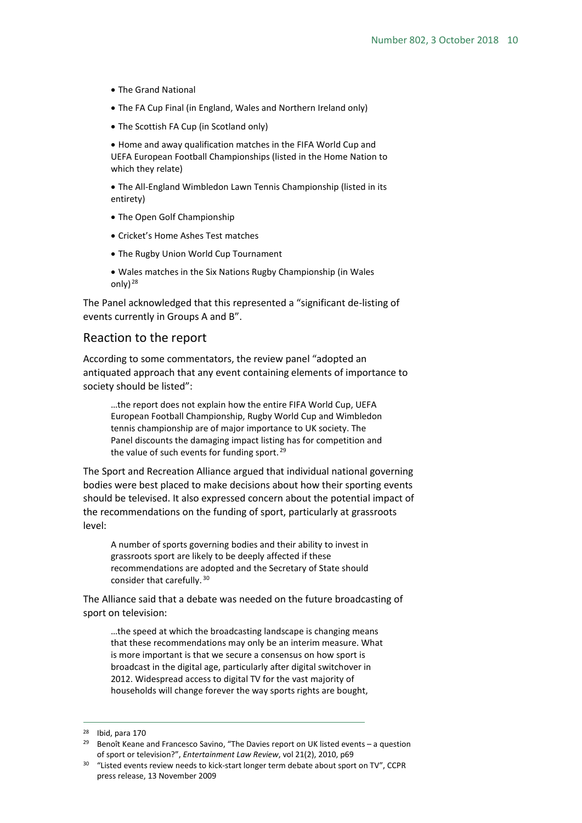- The Grand National
- The FA Cup Final (in England, Wales and Northern Ireland only)
- The Scottish FA Cup (in Scotland only)

• Home and away qualification matches in the FIFA World Cup and UEFA European Football Championships (listed in the Home Nation to which they relate)

• The All-England Wimbledon Lawn Tennis Championship (listed in its entirety)

- The Open Golf Championship
- Cricket's Home Ashes Test matches
- The Rugby Union World Cup Tournament
- Wales matches in the Six Nations Rugby Championship (in Wales only) [28](#page-9-0)

The Panel acknowledged that this represented a "significant de-listing of events currently in Groups A and B".

### Reaction to the report

According to some commentators, the review panel "adopted an antiquated approach that any event containing elements of importance to society should be listed":

…the report does not explain how the entire FIFA World Cup, UEFA European Football Championship, Rugby World Cup and Wimbledon tennis championship are of major importance to UK society. The Panel discounts the damaging impact listing has for competition and the value of such events for funding sport.<sup>[29](#page-9-1)</sup>

The Sport and Recreation Alliance argued that individual national governing bodies were best placed to make decisions about how their sporting events should be televised. It also expressed concern about the potential impact of the recommendations on the funding of sport, particularly at grassroots level:

A number of sports governing bodies and their ability to invest in grassroots sport are likely to be deeply affected if these recommendations are adopted and the Secretary of State should consider that carefully. [30](#page-9-2)

The Alliance said that a debate was needed on the future broadcasting of sport on television:

…the speed at which the broadcasting landscape is changing means that these recommendations may only be an interim measure. What is more important is that we secure a consensus on how sport is broadcast in the digital age, particularly after digital switchover in 2012. Widespread access to digital TV for the vast majority of households will change forever the way sports rights are bought,

<span id="page-9-0"></span> $28$  Ibid, para 170

<span id="page-9-1"></span><sup>&</sup>lt;sup>29</sup> Benoît Keane and Francesco Savino, "The Davies report on UK listed events – a question of sport or television?", *Entertainment Law Review*, vol 21(2), 2010, p69

<span id="page-9-2"></span><sup>&</sup>lt;sup>30</sup> "Listed events review needs to kick-start longer term debate about sport on TV", CCPR press release, 13 November 2009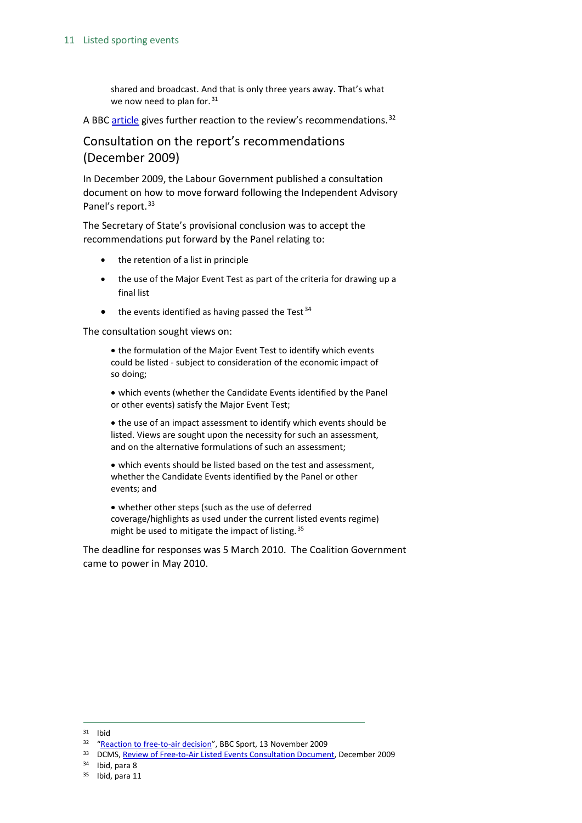#### 11 Listed sporting events

shared and broadcast. And that is only three years away. That's what we now need to plan for. [31](#page-10-0)

A BBC [article](http://news.bbc.co.uk/sport1/hi/front_page/8358508.stm) gives further reaction to the review's recommendations.<sup>[32](#page-10-1)</sup>

### Consultation on the report's recommendations (December 2009)

In December 2009, the Labour Government published a consultation document on how to move forward following the Independent Advisory Panel's report.<sup>[33](#page-10-2)</sup>

The Secretary of State's provisional conclusion was to accept the recommendations put forward by the Panel relating to:

- the retention of a list in principle
- the use of the Major Event Test as part of the criteria for drawing up a final list
- $\bullet$  the events identified as having passed the Test<sup>[34](#page-10-3)</sup>

The consultation sought views on:

• the formulation of the Major Event Test to identify which events could be listed - subject to consideration of the economic impact of so doing;

• which events (whether the Candidate Events identified by the Panel or other events) satisfy the Major Event Test;

• the use of an impact assessment to identify which events should be listed. Views are sought upon the necessity for such an assessment, and on the alternative formulations of such an assessment;

• which events should be listed based on the test and assessment, whether the Candidate Events identified by the Panel or other events; and

• whether other steps (such as the use of deferred coverage/highlights as used under the current listed events regime) might be used to mitigate the impact of listing.<sup>[35](#page-10-4)</sup>

The deadline for responses was 5 March 2010. The Coalition Government came to power in May 2010.

<span id="page-10-0"></span> <sup>31</sup> Ibid

<span id="page-10-2"></span><span id="page-10-1"></span><sup>&</sup>lt;sup>32</sup> ["Reaction to free-to-air decision"](http://news.bbc.co.uk/sport1/hi/front_page/8358508.stm), BBC Sport, 13 November 2009<br><sup>33</sup> DCMS[, Review of Free-to-Air Listed Events Consultation Document,](http://webarchive.nationalarchives.gov.uk/+/http:/www.culture.gov.uk/images/consultations/listed_events_review_consultation.pdf) December 2009

<span id="page-10-3"></span><sup>34</sup> Ibid, para 8

<span id="page-10-4"></span><sup>&</sup>lt;sup>35</sup> Ibid, para 11